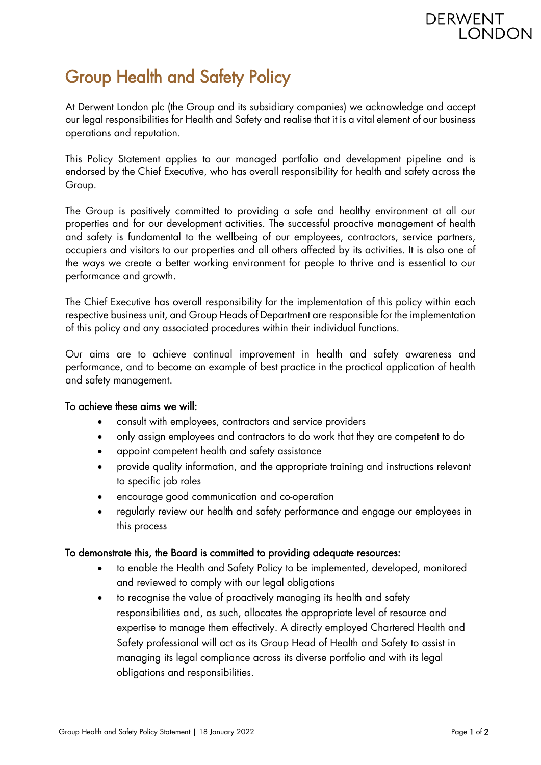## Group Health and Safety Policy

At Derwent London plc (the Group and its subsidiary companies) we acknowledge and accept our legal responsibilities for Health and Safety and realise that it is a vital element of our business operations and reputation.

This Policy Statement applies to our managed portfolio and development pipeline and is endorsed by the Chief Executive, who has overall responsibility for health and safety across the Group.

The Group is positively committed to providing a safe and healthy environment at all our properties and for our development activities. The successful proactive management of health and safety is fundamental to the wellbeing of our employees, contractors, service partners, occupiers and visitors to our properties and all others affected by its activities. It is also one of the ways we create a better working environment for people to thrive and is essential to our performance and growth.

The Chief Executive has overall responsibility for the implementation of this policy within each respective business unit, and Group Heads of Department are responsible for the implementation of this policy and any associated procedures within their individual functions.

Our aims are to achieve continual improvement in health and safety awareness and performance, and to become an example of best practice in the practical application of health and safety management.

## To achieve these aims we will:

- consult with employees, contractors and service providers
- only assign employees and contractors to do work that they are competent to do
- appoint competent health and safety assistance
- provide quality information, and the appropriate training and instructions relevant to specific job roles
- encourage good communication and co-operation
- regularly review our health and safety performance and engage our employees in this process

## To demonstrate this, the Board is committed to providing adequate resources:

- to enable the Health and Safety Policy to be implemented, developed, monitored and reviewed to comply with our legal obligations
- to recognise the value of proactively managing its health and safety responsibilities and, as such, allocates the appropriate level of resource and expertise to manage them effectively. A directly employed Chartered Health and Safety professional will act as its Group Head of Health and Safety to assist in managing its legal compliance across its diverse portfolio and with its legal obligations and responsibilities.